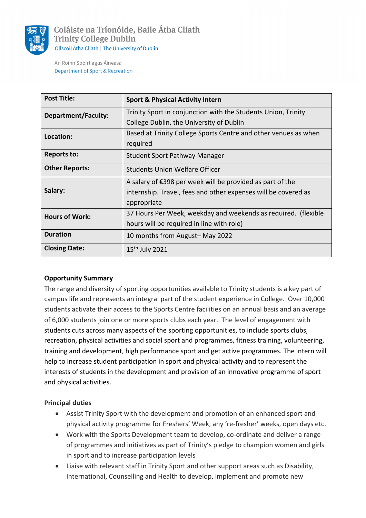

Coláiste na Tríonóide, Baile Átha Cliath **Trinity College Dublin** Ollscoil Átha Cliath | The University of Dublin

An Roinn Spóirt agus Áineasa **Department of Sport & Recreation** 

| <b>Post Title:</b>         | <b>Sport &amp; Physical Activity Intern</b>                         |
|----------------------------|---------------------------------------------------------------------|
| <b>Department/Faculty:</b> | Trinity Sport in conjunction with the Students Union, Trinity       |
|                            | College Dublin, the University of Dublin                            |
| Location:                  | Based at Trinity College Sports Centre and other venues as when     |
|                            | required                                                            |
| <b>Reports to:</b>         | Student Sport Pathway Manager                                       |
| <b>Other Reports:</b>      | <b>Students Union Welfare Officer</b>                               |
| Salary:                    | A salary of $\epsilon$ 398 per week will be provided as part of the |
|                            | internship. Travel, fees and other expenses will be covered as      |
|                            | appropriate                                                         |
| <b>Hours of Work:</b>      | 37 Hours Per Week, weekday and weekends as required. (flexible      |
|                            | hours will be required in line with role)                           |
| <b>Duration</b>            | 10 months from August-May 2022                                      |
| <b>Closing Date:</b>       | $15th$ July 2021                                                    |

#### **Opportunity Summary**

The range and diversity of sporting opportunities available to Trinity students is a key part of campus life and represents an integral part of the student experience in College. Over 10,000 students activate their access to the Sports Centre facilities on an annual basis and an average of 6,000 students join one or more sports clubs each year. The level of engagement with students cuts across many aspects of the sporting opportunities, to include sports clubs, recreation, physical activities and social sport and programmes, fitness training, volunteering, training and development, high performance sport and get active programmes. The intern will help to increase student participation in sport and physical activity and to represent the interests of students in the development and provision of an innovative programme of sport and physical activities.

#### **Principal duties**

- Assist Trinity Sport with the development and promotion of an enhanced sport and physical activity programme for Freshers' Week, any 're-fresher' weeks, open days etc.
- Work with the Sports Development team to develop, co-ordinate and deliver a range of programmes and initiatives as part of Trinity's pledge to champion women and girls in sport and to increase participation levels
- Liaise with relevant staff in Trinity Sport and other support areas such as Disability, International, Counselling and Health to develop, implement and promote new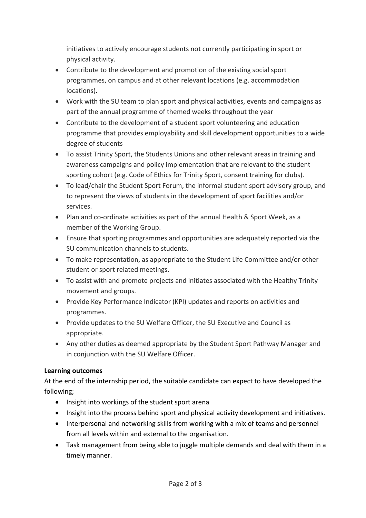initiatives to actively encourage students not currently participating in sport or physical activity.

- Contribute to the development and promotion of the existing social sport programmes, on campus and at other relevant locations (e.g. accommodation locations).
- Work with the SU team to plan sport and physical activities, events and campaigns as part of the annual programme of themed weeks throughout the year
- Contribute to the development of a student sport volunteering and education programme that provides employability and skill development opportunities to a wide degree of students
- To assist Trinity Sport, the Students Unions and other relevant areas in training and awareness campaigns and policy implementation that are relevant to the student sporting cohort (e.g. Code of Ethics for Trinity Sport, consent training for clubs).
- To lead/chair the Student Sport Forum, the informal student sport advisory group, and to represent the views of students in the development of sport facilities and/or services.
- Plan and co-ordinate activities as part of the annual Health & Sport Week, as a member of the Working Group.
- Ensure that sporting programmes and opportunities are adequately reported via the SU communication channels to students.
- To make representation, as appropriate to the Student Life Committee and/or other student or sport related meetings.
- To assist with and promote projects and initiates associated with the Healthy Trinity movement and groups.
- Provide Key Performance Indicator (KPI) updates and reports on activities and programmes.
- Provide updates to the SU Welfare Officer, the SU Executive and Council as appropriate.
- Any other duties as deemed appropriate by the Student Sport Pathway Manager and in conjunction with the SU Welfare Officer.

# **Learning outcomes**

At the end of the internship period, the suitable candidate can expect to have developed the following;

- Insight into workings of the student sport arena
- Insight into the process behind sport and physical activity development and initiatives.
- Interpersonal and networking skills from working with a mix of teams and personnel from all levels within and external to the organisation.
- Task management from being able to juggle multiple demands and deal with them in a timely manner.